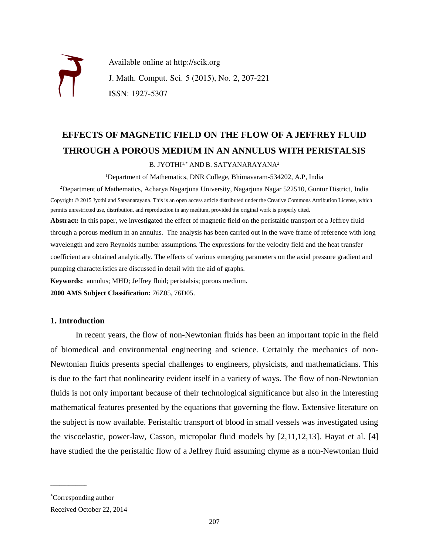

Available online at http://scik.org J. Math. Comput. Sci. 5 (2015), No. 2, 207-221 ISSN: 1927-5307

# **EFFECTS OF MAGNETIC FIELD ON THE FLOW OF A JEFFREY FLUID THROUGH A POROUS MEDIUM IN AN ANNULUS WITH PERISTALSIS**

B. JYOTHI<sup>1,\*</sup> AND B. SATYANARAYANA<sup>2</sup>

<sup>1</sup>Department of Mathematics, DNR College, Bhimavaram-534202, A.P, India

<sup>2</sup>Department of Mathematics, Acharya Nagarjuna University, Nagarjuna Nagar 522510, Guntur District, India Copyright © 2015 Jyothi and Satyanarayana. This is an open access article distributed under the Creative Commons Attribution License, which permits unrestricted use, distribution, and reproduction in any medium, provided the original work is properly cited. **Abstract:** In this paper, we investigated the effect of magnetic field on the peristaltic transport of a Jeffrey fluid

through a porous medium in an annulus. The analysis has been carried out in the wave frame of reference with long wavelength and zero Reynolds number assumptions. The expressions for the velocity field and the heat transfer coefficient are obtained analytically. The effects of various emerging parameters on the axial pressure gradient and pumping characteristics are discussed in detail with the aid of graphs.

**Keywords:** annulus; MHD; Jeffrey fluid; peristalsis; porous medium**.**

**2000 AMS Subject Classification:** 76Z05, 76D05.

### **1. Introduction**

In recent years, the flow of non-Newtonian fluids has been an important topic in the field of biomedical and environmental engineering and science. Certainly the mechanics of non-Newtonian fluids presents special challenges to engineers, physicists, and mathematicians. This is due to the fact that nonlinearity evident itself in a variety of ways. The flow of non-Newtonian fluids is not only important because of their technological significance but also in the interesting mathematical features presented by the equations that governing the flow. Extensive literature on the subject is now available. Peristaltic transport of blood in small vessels was investigated using the viscoelastic, power-law, Casson, micropolar fluid models by [2,11,12,13]. Hayat et al. [4] have studied the the peristaltic flow of a Jeffrey fluid assuming chyme as a non-Newtonian fluid

 $\overline{\phantom{a}}$  , where  $\overline{\phantom{a}}$ 

<sup>\*</sup>Corresponding author

Received October 22, 2014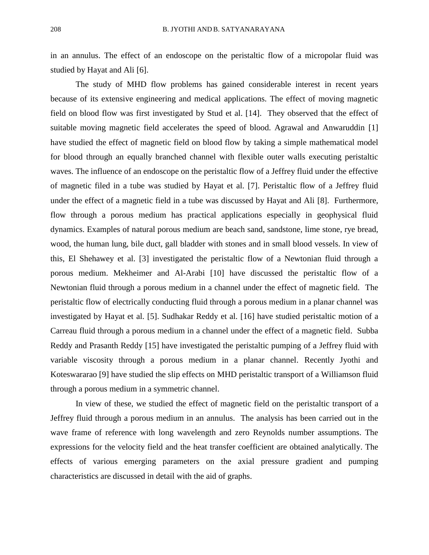in an annulus. The effect of an endoscope on the peristaltic flow of a micropolar fluid was studied by Hayat and Ali [6].

The study of MHD flow problems has gained considerable interest in recent years because of its extensive engineering and medical applications. The effect of moving magnetic field on blood flow was first investigated by Stud et al. [14]. They observed that the effect of suitable moving magnetic field accelerates the speed of blood. Agrawal and Anwaruddin [1] have studied the effect of magnetic field on blood flow by taking a simple mathematical model for blood through an equally branched channel with flexible outer walls executing peristaltic waves. The influence of an endoscope on the peristaltic flow of a Jeffrey fluid under the effective of magnetic filed in a tube was studied by Hayat et al. [7]. Peristaltic flow of a Jeffrey fluid under the effect of a magnetic field in a tube was discussed by Hayat and Ali [8]. Furthermore, flow through a porous medium has practical applications especially in geophysical fluid dynamics. Examples of natural porous medium are beach sand, sandstone, lime stone, rye bread, wood, the human lung, bile duct, gall bladder with stones and in small blood vessels. In view of this, El Shehawey et al. [3] investigated the peristaltic flow of a Newtonian fluid through a porous medium. Mekheimer and Al-Arabi [10] have discussed the peristaltic flow of a Newtonian fluid through a porous medium in a channel under the effect of magnetic field. The peristaltic flow of electrically conducting fluid through a porous medium in a planar channel was investigated by Hayat et al. [5]. Sudhakar Reddy et al. [16] have studied peristaltic motion of a Carreau fluid through a porous medium in a channel under the effect of a magnetic field. Subba Reddy and Prasanth Reddy [15] have investigated the peristaltic pumping of a Jeffrey fluid with variable viscosity through a porous medium in a planar channel. Recently Jyothi and Koteswararao [9] have studied the slip effects on MHD peristaltic transport of a Williamson fluid through a porous medium in a symmetric channel.

In view of these, we studied the effect of magnetic field on the peristaltic transport of a Jeffrey fluid through a porous medium in an annulus. The analysis has been carried out in the wave frame of reference with long wavelength and zero Reynolds number assumptions. The expressions for the velocity field and the heat transfer coefficient are obtained analytically. The effects of various emerging parameters on the axial pressure gradient and pumping characteristics are discussed in detail with the aid of graphs.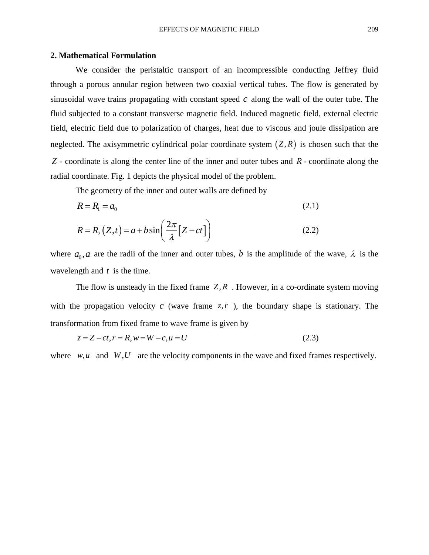### **2. Mathematical Formulation**

We consider the peristaltic transport of an incompressible conducting Jeffrey fluid through a porous annular region between two coaxial vertical tubes. The flow is generated by sinusoidal wave trains propagating with constant speed  $c$  along the wall of the outer tube. The fluid subjected to a constant transverse magnetic field. Induced magnetic field, external electric field, electric field due to polarization of charges, heat due to viscous and joule dissipation are neglected. The axisymmetric cylindrical polar coordinate system  $(Z, R)$  is chosen such that the *Z* - coordinate is along the center line of the inner and outer tubes and *R* - coordinate along the radial coordinate. Fig. 1 depicts the physical model of the problem.

The geometry of the inner and outer walls are defined by

$$
R = R_1 = a_0 \tag{2.1}
$$

$$
R = R_2(Z, t) = a + b \sin\left(\frac{2\pi}{\lambda} [Z - ct]\right)
$$
\n(2.2)

where  $a_0$ , *a* are the radii of the inner and outer tubes, *b* is the amplitude of the wave,  $\lambda$  is the wavelength and *t* is the time.

The flow is unsteady in the fixed frame  $Z, R$ . However, in a co-ordinate system moving with the propagation velocity  $c$  (wave frame  $z, r$ ), the boundary shape is stationary. The transformation from fixed frame to wave frame is given by<br>  $z = Z - ct, r = R, w = W - c, u = U$ 

$$
z = Z - ct, r = R, w = W - c, u = U
$$
\n(2.3)

where  $w, u$  and  $W, U$  are the velocity components in the wave and fixed frames respectively.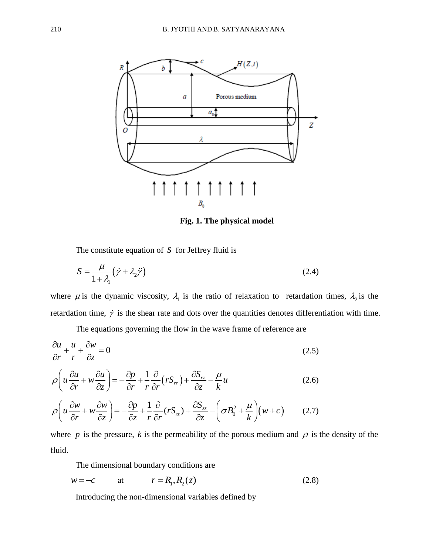

**Fig. 1. The physical model**

The constitute equation of  $S$  for Jeffrey fluid is

$$
S = \frac{\mu}{1 + \lambda_1} (\dot{\gamma} + \lambda_2 \ddot{\gamma})
$$
 (2.4)

where  $\mu$  is the dynamic viscosity,  $\lambda_1$  is the ratio of relaxation to retardation times,  $\lambda_2$  is the retardation time,  $\dot{\gamma}$  is the shear rate and dots over the quantities denotes differentiation with time.

The equations governing the flow in the wave frame of reference are

$$
\frac{\partial u}{\partial r} + \frac{u}{r} + \frac{\partial w}{\partial z} = 0
$$
\n(2.5)

$$
\frac{\partial}{\partial r} + \frac{\partial}{r} + \frac{\partial}{\partial z} = 0
$$
\n
$$
\rho \left( u \frac{\partial u}{\partial r} + w \frac{\partial u}{\partial z} \right) = -\frac{\partial p}{\partial r} + \frac{1}{r} \frac{\partial}{\partial r} \left( r S_r \right) + \frac{\partial S_r}{\partial z} - \frac{\mu}{k} u
$$
\n(2.6)

$$
\rho \left( u \frac{\partial u}{\partial r} + w \frac{\partial u}{\partial z} \right) = -\frac{\partial p}{\partial r} + \frac{1}{r} \frac{\partial}{\partial r} \left( r S_{rr} \right) + \frac{\partial S_{rz}}{\partial z} - \frac{\mu}{k} u \tag{2.6}
$$
\n
$$
\rho \left( u \frac{\partial w}{\partial r} + w \frac{\partial w}{\partial z} \right) = -\frac{\partial p}{\partial z} + \frac{1}{r} \frac{\partial}{\partial r} \left( r S_{rz} \right) + \frac{\partial S_{zz}}{\partial z} - \left( \sigma B_0^2 + \frac{\mu}{k} \right) \left( w + c \right) \tag{2.7}
$$

where p is the pressure, k is the permeability of the porous medium and  $\rho$  is the density of the fluid.

The dimensional boundary conditions are

$$
w = -c \qquad \text{at} \qquad r = R_1, R_2(z) \tag{2.8}
$$

Introducing the non-dimensional variables defined by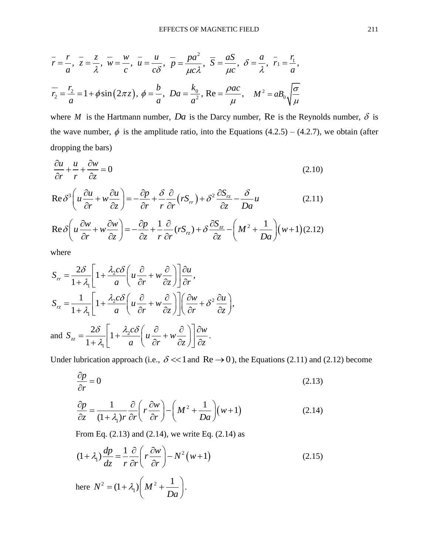$$
\bar{r} = \frac{r}{a}, \ \bar{z} = \frac{z}{\lambda}, \ \bar{w} = \frac{w}{c}, \ \bar{u} = \frac{u}{c\delta}, \ \bar{p} = \frac{pa^2}{\mu c \lambda}, \ \bar{S} = \frac{aS}{\mu c}, \ \delta = \frac{a}{\lambda}, \ \bar{r}_1 = \frac{r_1}{a},
$$
  
 $\bar{r}_2 = \frac{r_2}{a} = 1 + \phi \sin(2\pi z), \ \phi = \frac{b}{a}, \ Da = \frac{k_0}{a^2}, \ Re = \frac{\rho ac}{\mu}, \ \ M^2 = aB_0 \sqrt{\frac{\sigma}{\mu}}$ 

where *M* is the Hartmann number, *Da* is the Darcy number, Re is the Reynolds number,  $\delta$  is the wave number,  $\phi$  is the amplitude ratio, into the Equations (4.2.5) – (4.2.7), we obtain (after dropping the bars)

$$
\frac{\partial u}{\partial r} + \frac{u}{r} + \frac{\partial w}{\partial z} = 0
$$
\n
$$
\text{Re}\,\delta^3 \left( u \frac{\partial u}{\partial r} + w \frac{\partial u}{\partial z} \right) = -\frac{\partial p}{\partial r} + \frac{\delta}{r} \frac{\partial}{\partial r} \left( r S_r \right) + \delta^2 \frac{\partial S_r}{\partial z} - \frac{\delta}{Da} u
$$
\n(2.10)

$$
\frac{\partial u}{\partial r} + \frac{u}{r} + \frac{\partial w}{\partial z} = 0
$$
\n
$$
\text{Re}\,\delta^3 \left( u \frac{\partial u}{\partial r} + w \frac{\partial u}{\partial z} \right) = -\frac{\partial p}{\partial r} + \frac{\delta}{r} \frac{\partial}{\partial r} \left( r S_{rr} \right) + \delta^2 \frac{\partial S_{rz}}{\partial z} - \frac{\delta}{Da} u
$$
\n
$$
\text{Re}\,\delta \left( u \frac{\partial w}{\partial r} + w \frac{\partial w}{\partial z} \right) = -\frac{\partial p}{\partial z} + \frac{1}{r} \frac{\partial}{\partial r} \left( r S_{rz} \right) + \delta \frac{\partial S_{zz}}{\partial z} - \left( M^2 + \frac{1}{Da} \right) \left( w + 1 \right) (2.12)
$$

$$
\text{Re}\,\delta\left(u\frac{\partial w}{\partial r} + w\frac{\partial w}{\partial z}\right) = -\frac{\partial p}{\partial z} + \frac{1}{r}\frac{\partial}{\partial r}(rS_{rz}) + \delta\frac{\partial S_{zz}}{\partial z} - \left(M^2 + \frac{1}{Da}\right)(w+1)(2.12)
$$

where

where  
\n
$$
S_{rr} = \frac{2\delta}{1+\lambda_1} \left[ 1 + \frac{\lambda_2 c\delta}{a} \left( u \frac{\partial}{\partial r} + w \frac{\partial}{\partial z} \right) \right] \frac{\partial u}{\partial r},
$$
\n
$$
S_{rz} = \frac{1}{1+\lambda_1} \left[ 1 + \frac{\lambda_2 c\delta}{a} \left( u \frac{\partial}{\partial r} + w \frac{\partial}{\partial z} \right) \right] \left( \frac{\partial w}{\partial r} + \delta^2 \frac{\partial u}{\partial z} \right),
$$
\nand 
$$
S_{zz} = \frac{2\delta}{1+\lambda_1} \left[ 1 + \frac{\lambda_2 c\delta}{a} \left( u \frac{\partial}{\partial r} + w \frac{\partial}{\partial z} \right) \right] \frac{\partial w}{\partial z}.
$$

Under lubrication approach (i.e.,  $\delta \ll 1$  and Re  $\rightarrow$  0), the Equations (2.11) and (2.12) become

$$
\frac{\partial p}{\partial r} = 0\tag{2.13}
$$

$$
\frac{\partial p}{\partial z} = \frac{1}{(1 + \lambda_1)r} \frac{\partial}{\partial r} \left( r \frac{\partial w}{\partial r} \right) - \left( M^2 + \frac{1}{Da} \right) \left( w + 1 \right) \tag{2.14}
$$

From Eq. (2.13) and (2.14), we write Eq. (2.14) as  
\n
$$
(1 + \lambda_1) \frac{dp}{dz} = \frac{1}{r} \frac{\partial}{\partial r} \left( r \frac{\partial w}{\partial r} \right) - N^2 (w + 1)
$$
\nthere 
$$
N^2 = (1 + \lambda_1) \left( M^2 + \frac{1}{Da} \right).
$$
\n(2.15)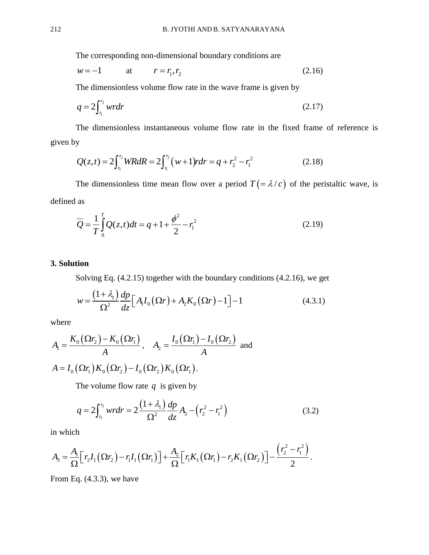The corresponding non-dimensional boundary conditions are

$$
w = -1 \t at \t r = r_1, r_2 \t (2.16)
$$

The dimensionless volume flow rate in the wave frame is given by

$$
q = 2\int_{r_1}^{r_2} w r dr \tag{2.17}
$$

The dimensionless instantaneous volume flow rate in the fixed frame of reference is given by The dimensionless instantaneous volume flow rate in the gymnal properties of  $Q(z,t) = 2\int_{r_1}^{r_2} WRdR = 2\int_{r_1}^{r_2} (w+1) r dr = q + r_2^2 - r_1^2$ 

y  
\n
$$
Q(z,t) = 2\int_{r_1}^{r_2} WRdR = 2\int_{r_1}^{r_2} (w+1)rdr = q + r_2^2 - r_1^2
$$
\n(2.18)

The dimensionless time mean flow over a period  $T = \lambda/c$  of the peristaltic wave, is defined as

$$
\overline{Q} = \frac{1}{T} \int_{0}^{T} Q(z, t) dt = q + 1 + \frac{\phi^2}{2} - r_1^2
$$
\n(2.19)

## **3. Solution**

Solving Eq. (4.2.15) together with the boundary conditions (4.2.16), we get  
\n
$$
w = \frac{(1 + \lambda_1)}{\Omega^2} \frac{dp}{dz} \Big[ A_1 I_0 (\Omega r) + A_2 K_0 (\Omega r) - 1 \Big] - 1
$$
\n(4.3.1)

where

$$
A_1 = \frac{K_0(\Omega r_2) - K_0(\Omega r_1)}{A}, \quad A_2 = \frac{I_0(\Omega r_1) - I_0(\Omega r_2)}{A} \text{ and}
$$
  

$$
A = I_0(\Omega r_1) K_0(\Omega r_2) - I_0(\Omega r_2) K_0(\Omega r_1).
$$

The volume flow rate  $q$  is given by

$$
q = 2\int_{r_1}^{r_2} w r dr = 2\frac{(1+\lambda_1)}{\Omega^2} \frac{dp}{dz} A_3 - (r_2^2 - r_1^2)
$$
 (3.2)

in which

in which  
\n
$$
A_{3} = \frac{A_{1}}{\Omega} \Big[ r_{2} I_{1} (\Omega r_{2}) - r_{1} I_{1} (\Omega r_{1}) \Big] + \frac{A_{2}}{\Omega} \Big[ r_{1} K_{1} (\Omega r_{1}) - r_{2} K_{1} (\Omega r_{2}) \Big] - \frac{\left( r_{2}^{2} - r_{1}^{2} \right)}{2}.
$$

From Eq. (4.3.3), we have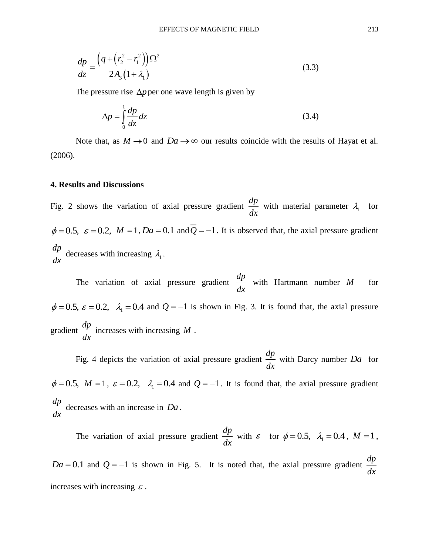$$
\frac{dp}{dz} = \frac{\left(q + \left(r_2^2 - r_1^2\right)\right)\Omega^2}{2A_3\left(1 + \lambda_1\right)}
$$
\n(3.3)

The pressure rise  $\Delta p$  per one wave length is given by

$$
\Delta p = \int_{0}^{1} \frac{dp}{dz} dz
$$
\n(3.4)

Note that, as  $M \to 0$  and  $Da \to \infty$  our results coincide with the results of Hayat et al. (2006).

#### **4. Results and Discussions**

Fig. 2 shows the variation of axial pressure gradient *dp dx* with material parameter  $\lambda_1$  for  $\phi = 0.5$ ,  $\varepsilon = 0.2$ ,  $M = 1$ ,  $Da = 0.1$  and  $Q = -1$ . It is observed that, the axial pressure gradient *dp dx* decreases with increasing  $\lambda_1$ .

The variation of axial pressure gradient *dp dx* with Hartmann number *M* for  $\phi = 0.5$ ,  $\varepsilon = 0.2$ ,  $\lambda_1 = 0.4$  and  $Q = -1$  is shown in Fig. 3. It is found that, the axial pressure gradient *dp dx* increases with increasing *M* .

Fig. 4 depicts the variation of axial pressure gradient *dp dx* with Darcy number *Da* for  $\phi = 0.5$ ,  $M = 1$ ,  $\varepsilon = 0.2$ ,  $\lambda_1 = 0.4$  and  $Q = -1$ . It is found that, the axial pressure gradient *dp dx* decreases with an increase in *Da* .

The variation of axial pressure gradient *dp dx* with  $\varepsilon$  for  $\phi = 0.5$ ,  $\lambda_1 = 0.4$ ,  $M = 1$ ,  $Da = 0.1$  and  $Q = -1$  is shown in Fig. 5. It is noted that, the axial pressure gradient *dp dx* increases with increasing  $\varepsilon$ .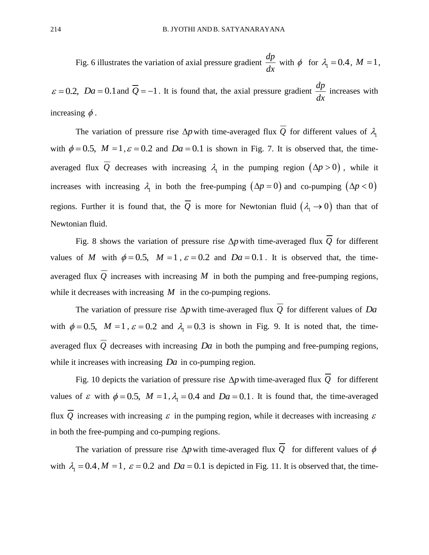Fig. 6 illustrates the variation of axial pressure gradient *dp dx* with  $\phi$  for  $\lambda_1 = 0.4$ ,  $M = 1$ ,

 $\varepsilon = 0.2$ ,  $Da = 0.1$  and  $Q = -1$ . It is found that, the axial pressure gradient *dp dx* increases with increasing  $\phi$ .

The variation of pressure rise  $\Delta p$  with time-averaged flux Q for different values of  $\lambda$ <sub>1</sub> with  $\phi = 0.5$ ,  $M = 1$ ,  $\varepsilon = 0.2$  and  $Da = 0.1$  is shown in Fig. 7. It is observed that, the timeaveraged flux Q decreases with increasing  $\lambda_1$  in the pumping region  $(\Delta p > 0)$ , while it increases with increasing  $\lambda_1$  in both the free-pumping  $(\Delta p = 0)$  and co-pumping  $(\Delta p < 0)$ regions. Further it is found that, the Q is more for Newtonian fluid  $(\lambda_1 \rightarrow 0)$  than that of Newtonian fluid.

Fig. 8 shows the variation of pressure rise  $\Delta p$  with time-averaged flux Q for different values of M with  $\phi = 0.5$ ,  $M = 1$ ,  $\varepsilon = 0.2$  and  $Da = 0.1$ . It is observed that, the timeaveraged flux  $Q$  increases with increasing  $M$  in both the pumping and free-pumping regions, while it decreases with increasing  $M$  in the co-pumping regions.

The variation of pressure rise  $\Delta p$  with time-averaged flux Q for different values of Da with  $\phi = 0.5$ ,  $M = 1$ ,  $\varepsilon = 0.2$  and  $\lambda_1 = 0.3$  is shown in Fig. 9. It is noted that, the timeaveraged flux *Q* decreases with increasing *Da* in both the pumping and free-pumping regions, while it increases with increasing *Da* in co-pumping region.

Fig. 10 depicts the variation of pressure rise  $\Delta p$  with time-averaged flux  $Q$  for different values of  $\varepsilon$  with  $\phi = 0.5$ ,  $M = 1$ ,  $\lambda_1 = 0.4$  and  $Da = 0.1$ . It is found that, the time-averaged flux Q increases with increasing  $\varepsilon$  in the pumping region, while it decreases with increasing  $\varepsilon$ in both the free-pumping and co-pumping regions.

The variation of pressure rise  $\Delta p$  with time-averaged flux Q for different values of  $\phi$ with  $\lambda_1 = 0.4$ ,  $M = 1$ ,  $\varepsilon = 0.2$  and  $Da = 0.1$  is depicted in Fig. 11. It is observed that, the time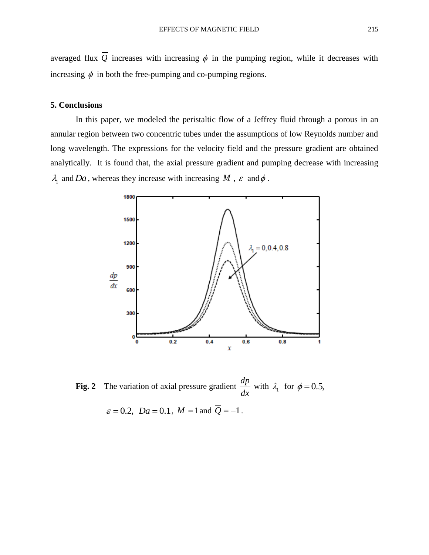averaged flux Q increases with increasing  $\phi$  in the pumping region, while it decreases with increasing  $\phi$  in both the free-pumping and co-pumping regions.

## **5. Conclusions**

In this paper, we modeled the peristaltic flow of a Jeffrey fluid through a porous in an annular region between two concentric tubes under the assumptions of low Reynolds number and long wavelength. The expressions for the velocity field and the pressure gradient are obtained analytically. It is found that, the axial pressure gradient and pumping decrease with increasing  $\lambda_1$  and Da, whereas they increase with increasing M,  $\varepsilon$  and  $\phi$ .



**Fig. 2** The variation of axial pressure gradient *dp dx* with  $\lambda_1$  for  $\phi = 0.5$ ,

$$
\varepsilon = 0.2
$$
,  $Da = 0.1$ ,  $M = 1$  and  $Q = -1$ .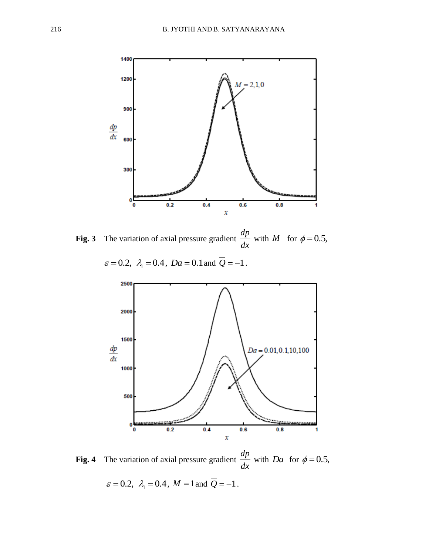

**Fig. 3** The variation of axial pressure gradient *dp dx* with *M* for  $\phi = 0.5$ ,



**Fig. 4** The variation of axial pressure gradient *dp dx* with *Da* for  $\phi = 0.5$ ,  $\varepsilon = 0.2$ ,  $\lambda_1 = 0.4$ ,  $M = 1$  and  $Q = -1$ .

 $\varepsilon = 0.2$ ,  $\lambda_1 = 0.4$ ,  $Da = 0.1$  and  $Q = -1$ .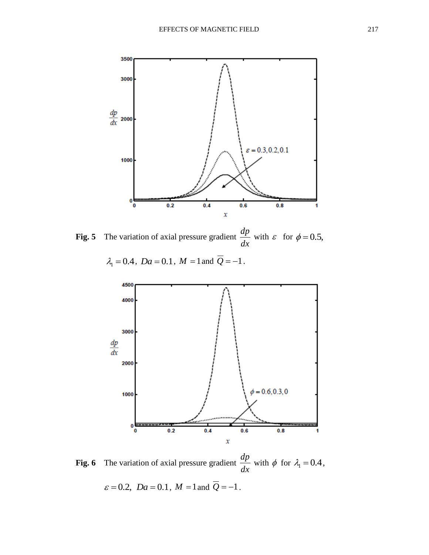

**Fig. 5** The variation of axial pressure gradient *dp dx* with  $\varepsilon$  for  $\phi = 0.5$ ,

 $\lambda_1 = 0.4$ ,  $Da = 0.1$ ,  $M = 1$  and  $Q = -1$ .



**Fig. 6** The variation of axial pressure gradient *dp dx* with  $\phi$  for  $\lambda_1 = 0.4$ ,

 $\varepsilon = 0.2$ , *Da* = 0.1, *M* = 1 and *Q* = -1.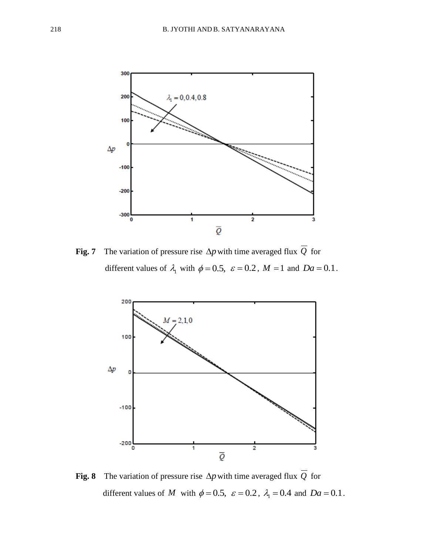

**Fig. 7** The variation of pressure rise  $\Delta p$  with time averaged flux Q for different values of  $\lambda_1$  with  $\phi = 0.5$ ,  $\varepsilon = 0.2$ ,  $M = 1$  and  $Da = 0.1$ .



**Fig. 8** The variation of pressure rise  $\Delta p$  with time averaged flux Q for different values of M with  $\phi = 0.5$ ,  $\varepsilon = 0.2$ ,  $\lambda_1 = 0.4$  and  $Da = 0.1$ .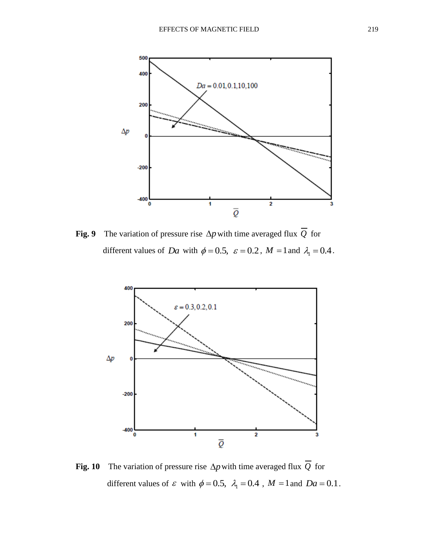

**Fig. 9** The variation of pressure rise  $\Delta p$  with time averaged flux Q for different values of *Da* with  $\phi = 0.5$ ,  $\varepsilon = 0.2$ ,  $M = 1$  and  $\lambda_1 = 0.4$ .



**Fig. 10** The variation of pressure rise  $\Delta p$  with time averaged flux Q for different values of  $\varepsilon$  with  $\phi = 0.5$ ,  $\lambda_1 = 0.4$ ,  $M = 1$  and  $Da = 0.1$ .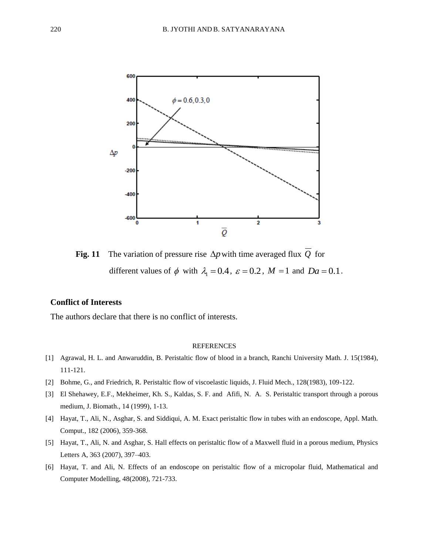

**Fig. 11** The variation of pressure rise  $\Delta p$  with time averaged flux Q for different values of  $\phi$  with  $\lambda_1 = 0.4$ ,  $\varepsilon = 0.2$ ,  $M = 1$  and  $Da = 0.1$ .

## **Conflict of Interests**

The authors declare that there is no conflict of interests.

#### REFERENCES

- [1] Agrawal, H. L. and Anwaruddin, B. Peristaltic flow of blood in a branch, Ranchi University Math. J. 15(1984), 111-121.
- [2] Bohme, G., and Friedrich, R. Peristaltic flow of viscoelastic liquids, J. Fluid Mech., 128(1983), 109-122.
- [3] El Shehawey, E.F., Mekheimer, Kh. S., Kaldas, S. F. and Afifi, N. A. S. Peristaltic transport through a porous medium, J. Biomath., 14 (1999), 1-13.
- [4] Hayat, T., Ali, N., Asghar, S. and Siddiqui, A. M. Exact peristaltic flow in tubes with an endoscope, Appl. Math. Comput., 182 (2006), 359-368.
- [5] Hayat, T., Ali, N. and Asghar, S. Hall effects on peristaltic flow of a Maxwell fluid in a porous medium, Physics Letters A, 363 (2007), 397–403.
- [6] Hayat, T. and Ali, N. Effects of an endoscope on peristaltic flow of a micropolar fluid, Mathematical and Computer Modelling, 48(2008), 721-733.